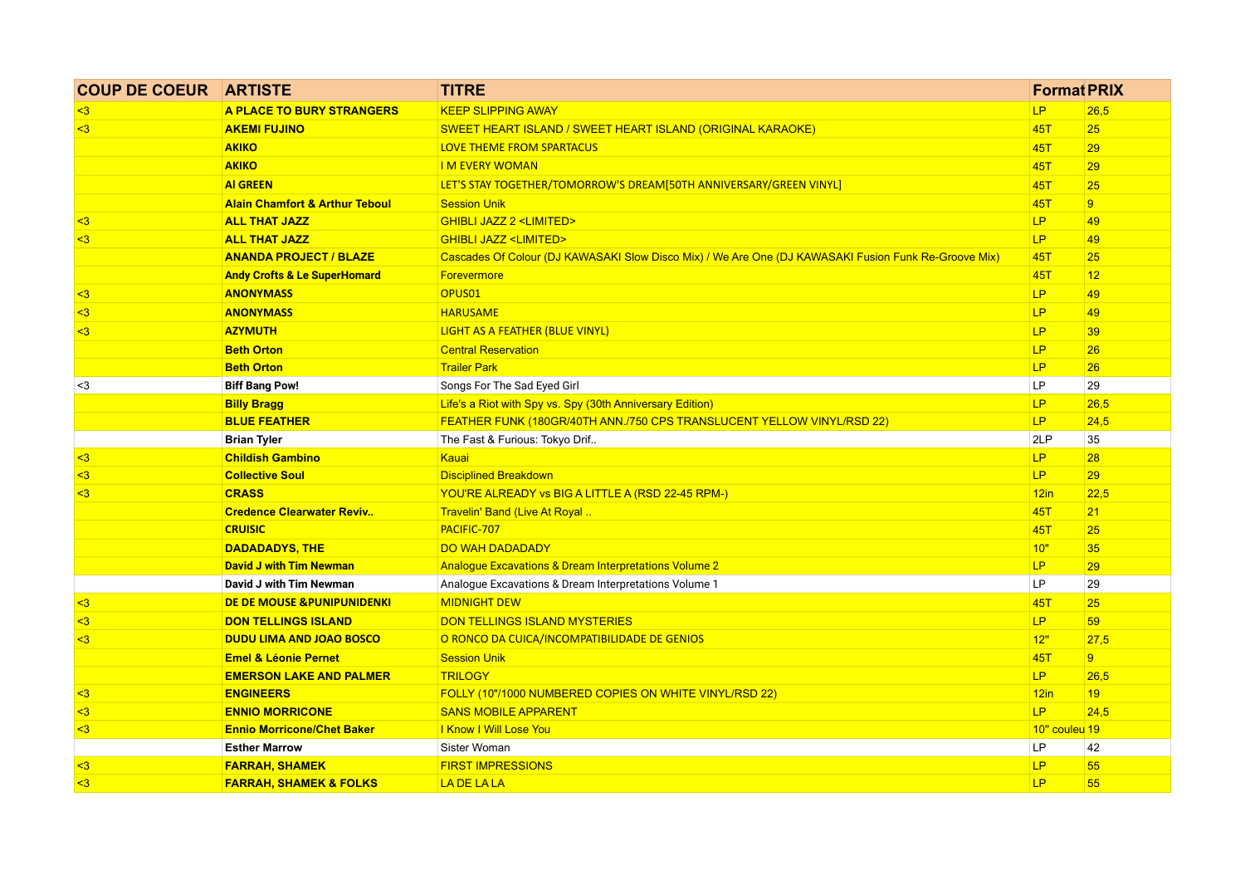| <b>COUP DE COEUR ARTISTE</b> |                                           | <b>TITRE</b>                                                                                         | <b>Format PRIX</b> |                |
|------------------------------|-------------------------------------------|------------------------------------------------------------------------------------------------------|--------------------|----------------|
| $\overline{3}$               | A PLACE TO BURY STRANGERS                 | <b>KEEP SLIPPING AWAY</b>                                                                            | P                  | 26,5           |
| $3$                          | <b>AKEMI FUJINO</b>                       | SWEET HEART ISLAND / SWEET HEART ISLAND (ORIGINAL KARAOKE)                                           | <b>45T</b>         | 25             |
|                              | <b>AKIKO</b>                              | LOVE THEME FROM SPARTACUS                                                                            | <b>45T</b>         | 29             |
|                              | <b>AKIKO</b>                              | <b>IM EVERY WOMAN</b>                                                                                | <b>45T</b>         | 29             |
|                              | <b>AI GREEN</b>                           | LET'S STAY TOGETHER/TOMORROW'S DREAM[50TH ANNIVERSARY/GREEN VINYL]                                   | 45T                | 25             |
|                              | <b>Alain Chamfort &amp; Arthur Teboul</b> | <b>Session Unik</b>                                                                                  | 45T                | 9 <sup>°</sup> |
| $3$                          | <b>ALL THAT JAZZ</b>                      | <b>GHIBLI JAZZ 2 <limited></limited></b>                                                             | LP.                | 49             |
| $\overline{3}$               | <b>ALL THAT JAZZ</b>                      | <b>GHIBLI JAZZ <limited></limited></b>                                                               | LP.                | 49             |
|                              | <b>ANANDA PROJECT / BLAZE</b>             | Cascades Of Colour (DJ KAWASAKI Slow Disco Mix) / We Are One (DJ KAWASAKI Fusion Funk Re-Groove Mix) | <b>45T</b>         | 25             |
|                              | <b>Andy Crofts &amp; Le SuperHomard</b>   | <b>Forevermore</b>                                                                                   | <b>45T</b>         | 12             |
| $\overline{\mathbf{3}}$      | <b>ANONYMASS</b>                          | OPUS <sub>01</sub>                                                                                   | LP.                | 49             |
| $3$                          | <b>ANONYMASS</b>                          | <b>HARUSAME</b>                                                                                      | <b>LP</b>          | 49             |
| $3$                          | <b>AZYMUTH</b>                            | LIGHT AS A FEATHER (BLUE VINYL)                                                                      | LP                 | 39             |
|                              | <b>Beth Orton</b>                         | <b>Central Reservation</b>                                                                           | LP                 | 26             |
|                              | <b>Beth Orton</b>                         | <b>Trailer Park</b>                                                                                  | LP                 | 26             |
| $3$                          | <b>Biff Bang Pow!</b>                     | Songs For The Sad Eyed Girl                                                                          | LP                 | 29             |
|                              | <b>Billy Bragg</b>                        | Life's a Riot with Spy vs. Spy (30th Anniversary Edition)                                            | <b>LP</b>          | 26,5           |
|                              | <b>BLUE FEATHER</b>                       | FEATHER FUNK (180GR/40TH ANN./750 CPS TRANSLUCENT YELLOW VINYL/RSD 22)                               | LP.                | 24,5           |
|                              | <b>Brian Tyler</b>                        | The Fast & Furious: Tokyo Drif                                                                       | 2LP                | 35             |
| $3$                          | <b>Childish Gambino</b>                   | Kauai                                                                                                | LP.                | 28             |
| $3$                          | <b>Collective Soul</b>                    | <b>Disciplined Breakdown</b>                                                                         | LP.                | 29             |
| $3$                          | <b>CRASS</b>                              | YOU'RE ALREADY vs BIG A LITTLE A (RSD 22-45 RPM-)                                                    | 12in               | 22,5           |
|                              | <b>Credence Clearwater Reviv</b>          | Travelin' Band (Live At Royal                                                                        | <b>45T</b>         | 21             |
|                              | <b>CRUISIC</b>                            | PACIFIC-707                                                                                          | <b>45T</b>         | 25             |
|                              | <b>DADADADYS, THE</b>                     | <b>DO WAH DADADADY</b>                                                                               | 10"                | 35             |
|                              | <b>David J with Tim Newman</b>            | Analogue Excavations & Dream Interpretations Volume 2                                                | LP                 | 29             |
|                              | David J with Tim Newman                   | Analogue Excavations & Dream Interpretations Volume 1                                                | LP                 | 29             |
| $3$                          | DE DE MOUSE & PUNIPUNIDENKI               | <b>MIDNIGHT DEW</b>                                                                                  | <b>45T</b>         | 25             |
| $3$                          | <b>DON TELLINGS ISLAND</b>                | <b>DON TELLINGS ISLAND MYSTERIES</b>                                                                 | LP.                | 59             |
| $3$                          | <b>DUDU LIMA AND JOAO BOSCO</b>           | O RONCO DA CUICA/INCOMPATIBILIDADE DE GENIOS                                                         | 12"                | 27,5           |
|                              | <b>Emel &amp; Léonie Pernet</b>           | <b>Session Unik</b>                                                                                  | <b>45T</b>         | 9 <sup>°</sup> |
|                              | <b>EMERSON LAKE AND PALMER</b>            | <b>TRILOGY</b>                                                                                       | LP.                | 26,5           |
| $3$                          | <b>ENGINEERS</b>                          | FOLLY (10"/1000 NUMBERED COPIES ON WHITE VINYL/RSD 22)                                               | 12in               | 19             |
| $\leq$ 3                     | <b>ENNIO MORRICONE</b>                    | <b>SANS MOBILE APPARENT</b>                                                                          | LP.                | 24,5           |
| $3$                          | <b>Ennio Morricone/Chet Baker</b>         | I Know I Will Lose You                                                                               | 10" couleu 19      |                |
|                              | <b>Esther Marrow</b>                      | Sister Woman                                                                                         | LP                 | 42             |
| $3$                          | <b>FARRAH, SHAMEK</b>                     | <b>FIRST IMPRESSIONS</b>                                                                             | LP                 | 55             |
| $3$                          | <b>FARRAH, SHAMEK &amp; FOLKS</b>         | LA DE LA LA                                                                                          | LP                 | 55             |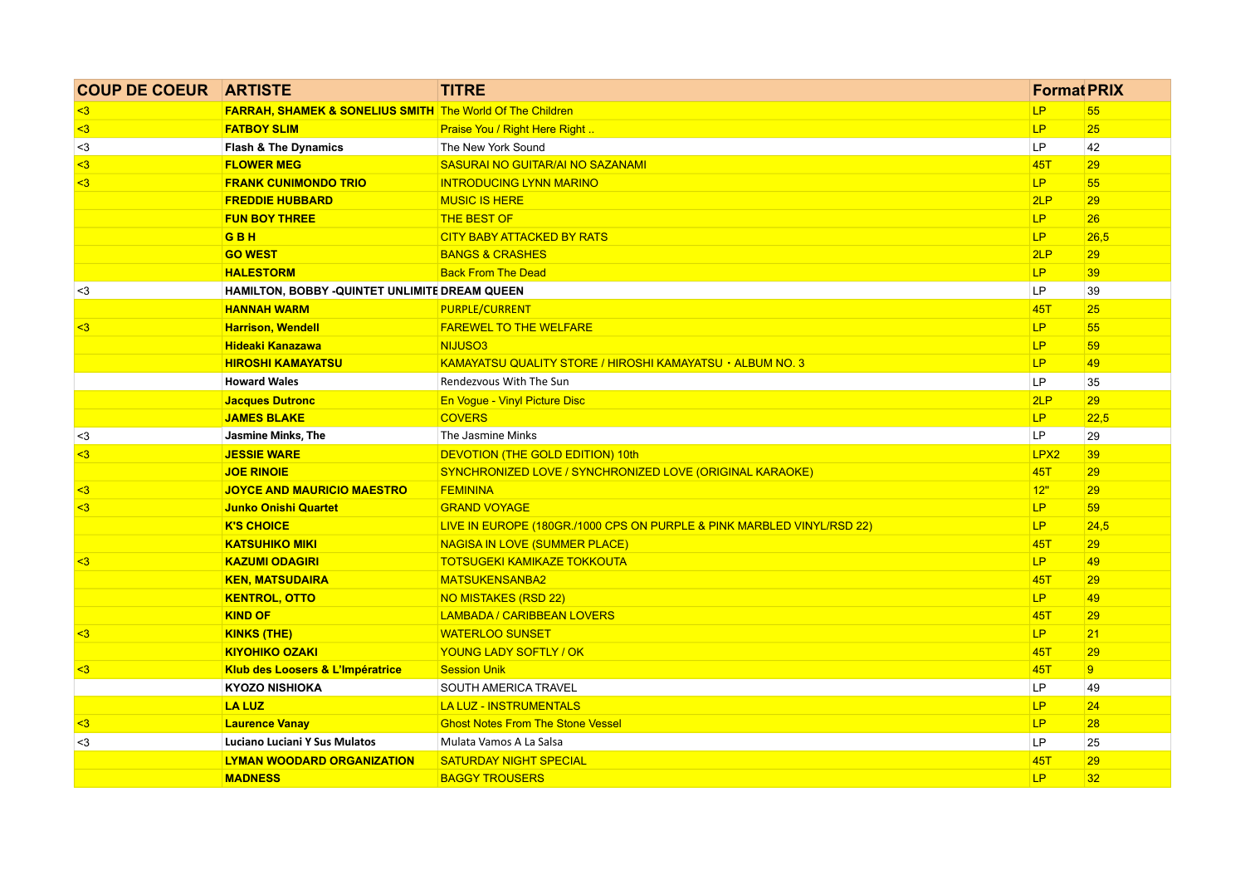| <b>COUP DE COEUR ARTISTE</b> |                                                                      | <b>TITRE</b>                                                           | <b>Format PRIX</b> |                |
|------------------------------|----------------------------------------------------------------------|------------------------------------------------------------------------|--------------------|----------------|
| $3$                          | <b>FARRAH, SHAMEK &amp; SONELIUS SMITH</b> The World Of The Children |                                                                        | LP.                | 55             |
| $\leq$ 3                     | <b>FATBOY SLIM</b>                                                   | Praise You / Right Here Right                                          | <b>LP</b>          | 25             |
| $3$                          | <b>Flash &amp; The Dynamics</b>                                      | The New York Sound                                                     | <b>LP</b>          | 42             |
| $3$                          | <b>FLOWER MEG</b>                                                    | SASURAI NO GUITAR/AI NO SAZANAMI                                       | <b>45T</b>         | 29             |
| $3$                          | <b>FRANK CUNIMONDO TRIO</b>                                          | <b>INTRODUCING LYNN MARINO</b>                                         | <b>LP</b>          | 55             |
|                              | <b>FREDDIE HUBBARD</b>                                               | <b>MUSIC IS HERE</b>                                                   | 2LP                | 29             |
|                              | <b>FUN BOY THREE</b>                                                 | <b>THE BEST OF</b>                                                     | <b>LP</b>          | 26             |
|                              | <b>GBH</b>                                                           | <b>CITY BABY ATTACKED BY RATS</b>                                      | LP.                | 26,5           |
|                              | <b>GO WEST</b>                                                       | <b>BANGS &amp; CRASHES</b>                                             | 2LP                | 29             |
|                              | <b>HALESTORM</b>                                                     | <b>Back From The Dead</b>                                              | <b>LP</b>          | 39             |
| $3$                          | HAMILTON, BOBBY -QUINTET UNLIMITE DREAM QUEEN                        |                                                                        | LP.                | 39             |
|                              | <b>HANNAH WARM</b>                                                   | <b>PURPLE/CURRENT</b>                                                  | <b>45T</b>         | 25             |
| $\overline{\mathbf{3}}$      | <b>Harrison, Wendell</b>                                             | <b>FAREWEL TO THE WELFARE</b>                                          | LP.                | 55             |
|                              | <b>Hideaki Kanazawa</b>                                              | NIJUSO3                                                                | LP.                | 59             |
|                              | <b>HIROSHI KAMAYATSU</b>                                             | KAMAYATSU QUALITY STORE / HIROSHI KAMAYATSU · ALBUM NO. 3              | <b>LP</b>          | 49             |
|                              | <b>Howard Wales</b>                                                  | Rendezvous With The Sun                                                | <b>LP</b>          | 35             |
|                              | <b>Jacques Dutronc</b>                                               | En Vogue - Vinyl Picture Disc                                          | 2LP                | 29             |
|                              | <b>JAMES BLAKE</b>                                                   | <b>COVERS</b>                                                          | LP.                | 22,5           |
| $3$                          | Jasmine Minks, The                                                   | The Jasmine Minks                                                      | LP                 | 29             |
| $\overline{3}$               | <b>JESSIE WARE</b>                                                   | <b>DEVOTION (THE GOLD EDITION) 10th</b>                                | LPX <sub>2</sub>   | 39             |
|                              | <b>JOE RINOIE</b>                                                    | SYNCHRONIZED LOVE / SYNCHRONIZED LOVE (ORIGINAL KARAOKE)               | <b>45T</b>         | 29             |
| $3$                          | <b>JOYCE AND MAURICIO MAESTRO</b>                                    | <b>FEMININA</b>                                                        | 12"                | 29             |
| $3$                          | <b>Junko Onishi Quartet</b>                                          | <b>GRAND VOYAGE</b>                                                    | LP.                | 59             |
|                              | <b>K'S CHOICE</b>                                                    | LIVE IN EUROPE (180GR./1000 CPS ON PURPLE & PINK MARBLED VINYL/RSD 22) | LP.                | 24,5           |
|                              | <b>KATSUHIKO MIKI</b>                                                | <b>NAGISA IN LOVE (SUMMER PLACE)</b>                                   | <b>45T</b>         | 29             |
| $3$                          | <b>KAZUMI ODAGIRI</b>                                                | <b>TOTSUGEKI KAMIKAZE TOKKOUTA</b>                                     | LP.                | 49             |
|                              | <b>KEN, MATSUDAIRA</b>                                               | <b>MATSUKENSANBA2</b>                                                  | <b>45T</b>         | 29             |
|                              | <b>KENTROL, OTTO</b>                                                 | NO MISTAKES (RSD 22)                                                   | <b>LP</b>          | 49             |
|                              | <b>KIND OF</b>                                                       | <b>LAMBADA / CARIBBEAN LOVERS</b>                                      | <b>45T</b>         | 29             |
| $3$                          | <b>KINKS (THE)</b>                                                   | <b>WATERLOO SUNSET</b>                                                 | <b>LP</b>          | 21             |
|                              |                                                                      |                                                                        |                    | 29             |
| $3$                          | <b>KIYOHIKO OZAKI</b>                                                | YOUNG LADY SOFTLY / OK                                                 | <b>45T</b>         |                |
|                              | Klub des Loosers & L'Impératrice                                     | <b>Session Unik</b>                                                    | <b>45T</b>         | $\overline{9}$ |
|                              | <b>KYOZO NISHIOKA</b>                                                | SOUTH AMERICA TRAVEL                                                   | LP                 | 49             |
|                              | <b>LA LUZ</b>                                                        | <b>LA LUZ - INSTRUMENTALS</b>                                          | LP.                | 24             |
| $3$                          | <b>Laurence Vanay</b>                                                | <b>Ghost Notes From The Stone Vessel</b>                               | LP.                | 28             |
| $3$                          | Luciano Luciani Y Sus Mulatos                                        | Mulata Vamos A La Salsa                                                | LP                 | 25             |
|                              | <b>LYMAN WOODARD ORGANIZATION</b>                                    | <b>SATURDAY NIGHT SPECIAL</b>                                          | 45T                | 29             |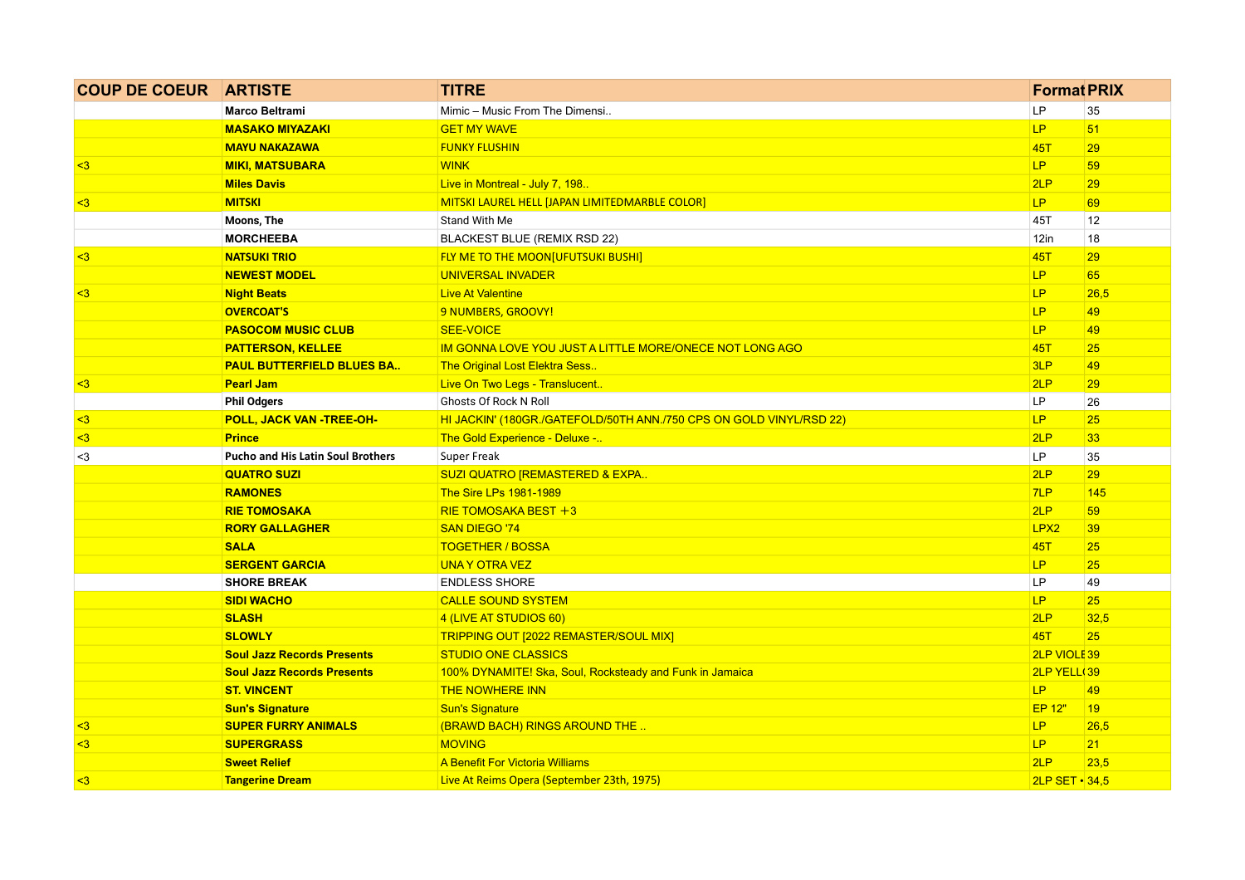| <b>COUP DE COEUR ARTISTE</b> |                                          | <b>TITRE</b>                                                        | <b>Format PRIX</b>     |      |
|------------------------------|------------------------------------------|---------------------------------------------------------------------|------------------------|------|
|                              | Marco Beltrami                           | Mimic - Music From The Dimensi                                      | LP                     | 35   |
|                              | <b>MASAKO MIYAZAKI</b>                   | <b>GET MY WAVE</b>                                                  | LP.                    | 51   |
|                              | <b>MAYU NAKAZAWA</b>                     | <b>FUNKY FLUSHIN</b>                                                | <b>45T</b>             | 29   |
| $\leq$ 3                     | <b>MIKI, MATSUBARA</b>                   | <b>WINK</b>                                                         | LP.                    | 59   |
|                              | <b>Miles Davis</b>                       | Live in Montreal - July 7, 198.                                     | 2LP                    | 29   |
| $3$                          | <b>MITSKI</b>                            | MITSKI LAUREL HELL [JAPAN LIMITEDMARBLE COLOR]                      | LP.                    | 69   |
|                              | Moons, The                               | Stand With Me                                                       | 45T                    | 12   |
|                              | <b>MORCHEEBA</b>                         | BLACKEST BLUE (REMIX RSD 22)                                        | $12$ in                | 18   |
| $3$                          | <b>NATSUKI TRIO</b>                      | FLY ME TO THE MOON[UFUTSUKI BUSHI]                                  | 45T                    | 29   |
|                              | <b>NEWEST MODEL</b>                      | <b>UNIVERSAL INVADER</b>                                            | LP.                    | 65   |
| $3$                          | <b>Night Beats</b>                       | <b>Live At Valentine</b>                                            | <b>LP</b>              | 26,5 |
|                              | <b>OVERCOAT'S</b>                        | 9 NUMBERS, GROOVY!                                                  | LP.                    | 49   |
|                              | <b>PASOCOM MUSIC CLUB</b>                | <b>SEE-VOICE</b>                                                    | LP.                    | 49   |
|                              | <b>PATTERSON, KELLEE</b>                 | IM GONNA LOVE YOU JUST A LITTLE MORE/ONECE NOT LONG AGO             | 45T                    | 25   |
|                              | <b>PAUL BUTTERFIELD BLUES BA</b>         | The Original Lost Elektra Sess.                                     | 3LP                    | 49   |
| $3$                          | <b>Pearl Jam</b>                         | Live On Two Legs - Translucent                                      | 2LP                    | 29   |
|                              | <b>Phil Odgers</b>                       | Ghosts Of Rock N Roll                                               | LP.                    | 26   |
| $3$                          | POLL, JACK VAN -TREE-OH-                 | HI JACKIN' (180GR./GATEFOLD/50TH ANN./750 CPS ON GOLD VINYL/RSD 22) | LP                     | 25   |
| $3$                          | <b>Prince</b>                            | The Gold Experience - Deluxe -                                      | 2LP                    | 33   |
| $3$                          | <b>Pucho and His Latin Soul Brothers</b> | Super Freak                                                         | LP.                    | 35   |
|                              | <b>QUATRO SUZI</b>                       | SUZI QUATRO [REMASTERED & EXPA                                      | 2LP                    | 29   |
|                              | <b>RAMONES</b>                           | The Sire LPs 1981-1989                                              | 7LP                    | 145  |
|                              | <b>RIE TOMOSAKA</b>                      | RIE TOMOSAKA BEST $+3$                                              | 2LP                    | 59   |
|                              | <b>RORY GALLAGHER</b>                    | <b>SAN DIEGO '74</b>                                                | LPX <sub>2</sub>       | 39   |
|                              | <b>SALA</b>                              | <b>TOGETHER / BOSSA</b>                                             | 45T                    | 25   |
|                              | <b>SERGENT GARCIA</b>                    | <b>UNA Y OTRA VEZ</b>                                               | LP.                    | 25   |
|                              | <b>SHORE BREAK</b>                       | <b>ENDLESS SHORE</b>                                                | <b>LP</b>              | 49   |
|                              | <b>SIDI WACHO</b>                        | <b>CALLE SOUND SYSTEM</b>                                           | LP                     | 25   |
|                              | <b>SLASH</b>                             | 4 (LIVE AT STUDIOS 60)                                              | 2LP                    | 32,5 |
|                              | <b>SLOWLY</b>                            | TRIPPING OUT [2022 REMASTER/SOUL MIX]                               | <b>45T</b>             | 25   |
|                              | <b>Soul Jazz Records Presents</b>        | <b>STUDIO ONE CLASSICS</b>                                          | 2LP VIOLE 39           |      |
|                              | <b>Soul Jazz Records Presents</b>        | 100% DYNAMITE! Ska, Soul, Rocksteady and Funk in Jamaica            | 2LP YELL 39            |      |
|                              | <b>ST. VINCENT</b>                       | <b>THE NOWHERE INN</b>                                              | LP.                    | 49   |
|                              | <b>Sun's Signature</b>                   | <b>Sun's Signature</b>                                              | <b>EP 12"</b>          | 19   |
| $3$                          | <b>SUPER FURRY ANIMALS</b>               | (BRAWD BACH) RINGS AROUND THE                                       | LP                     | 26,5 |
| $3$                          | <b>SUPERGRASS</b>                        | <b>MOVING</b>                                                       | LP.                    | 21   |
|                              | <b>Sweet Relief</b>                      | A Benefit For Victoria Williams                                     | 2LP                    | 23,5 |
| $3$                          | <b>Tangerine Dream</b>                   | Live At Reims Opera (September 23th, 1975)                          | $2LP$ SET $\cdot$ 34.5 |      |